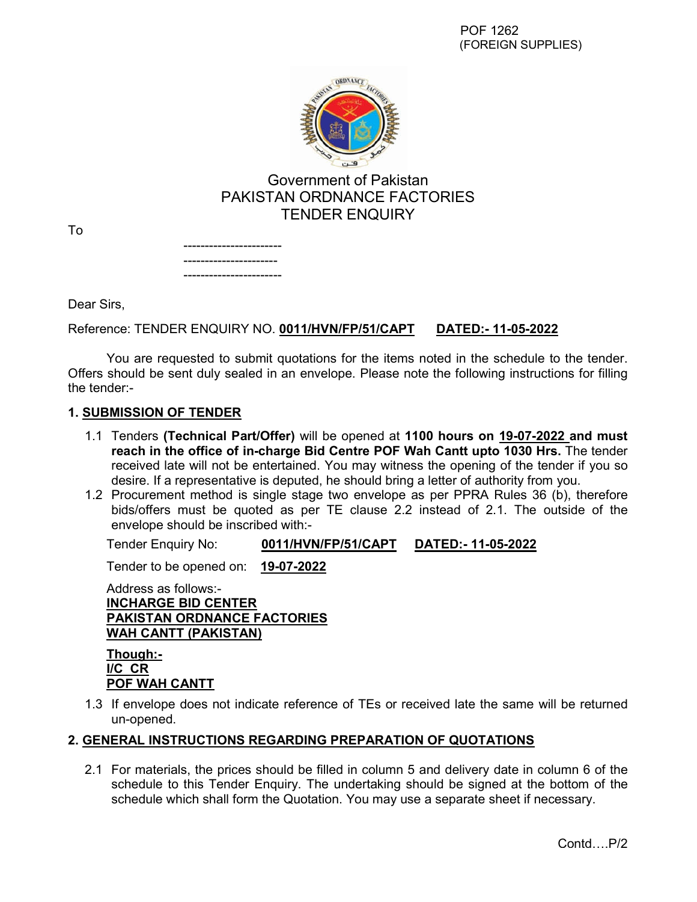

# Government of Pakistan PAKISTAN ORDNANCE FACTORIES TENDER ENQUIRY

To

----------------------- ---------------------- -----------------------

Dear Sirs,

## Reference: TENDER ENQUIRY NO. **0011/HVN/FP/51/CAPT DATED:- 11-05-2022**

You are requested to submit quotations for the items noted in the schedule to the tender. Offers should be sent duly sealed in an envelope. Please note the following instructions for filling the tender:-

#### **1. SUBMISSION OF TENDER**

- 1.1 Tenders **(Technical Part/Offer)** will be opened at **1100 hours on 19-07-2022 and must reach in the office of in-charge Bid Centre POF Wah Cantt upto 1030 Hrs.** The tender received late will not be entertained. You may witness the opening of the tender if you so desire. If a representative is deputed, he should bring a letter of authority from you.
- 1.2 Procurement method is single stage two envelope as per PPRA Rules 36 (b), therefore bids/offers must be quoted as per TE clause 2.2 instead of 2.1. The outside of the envelope should be inscribed with:-

Tender Enquiry No: **0011/HVN/FP/51/CAPT DATED:- 11-05-2022**

Tender to be opened on: **19-07-2022**

Address as follows:- **INCHARGE BID CENTER PAKISTAN ORDNANCE FACTORIES WAH CANTT (PAKISTAN)**

**Though:- I/C CR POF WAH CANTT**

1.3 If envelope does not indicate reference of TEs or received late the same will be returned un-opened.

#### **2. GENERAL INSTRUCTIONS REGARDING PREPARATION OF QUOTATIONS**

2.1 For materials, the prices should be filled in column 5 and delivery date in column 6 of the schedule to this Tender Enquiry. The undertaking should be signed at the bottom of the schedule which shall form the Quotation. You may use a separate sheet if necessary.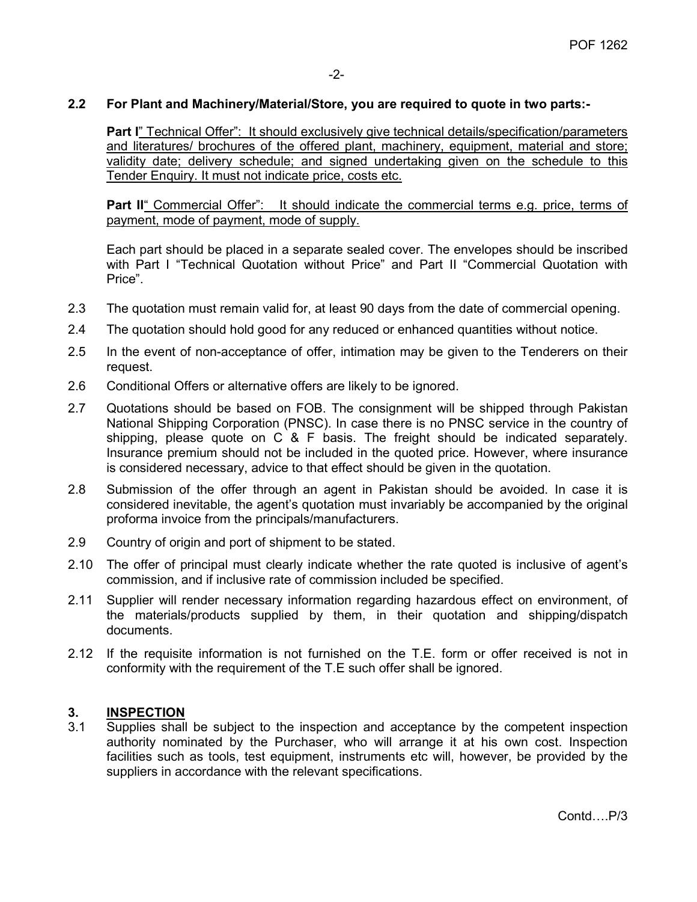#### **2.2 For Plant and Machinery/Material/Store, you are required to quote in two parts:-**

**Part I**" Technical Offer": It should exclusively give technical details/specification/parameters and literatures/ brochures of the offered plant, machinery, equipment, material and store; validity date; delivery schedule; and signed undertaking given on the schedule to this Tender Enquiry. It must not indicate price, costs etc.

**Part II**" Commercial Offer": It should indicate the commercial terms e.g. price, terms of payment, mode of payment, mode of supply.

Each part should be placed in a separate sealed cover. The envelopes should be inscribed with Part I "Technical Quotation without Price" and Part II "Commercial Quotation with Price".

- 2.3 The quotation must remain valid for, at least 90 days from the date of commercial opening.
- 2.4 The quotation should hold good for any reduced or enhanced quantities without notice.
- 2.5 In the event of non-acceptance of offer, intimation may be given to the Tenderers on their request.
- 2.6 Conditional Offers or alternative offers are likely to be ignored.
- 2.7 Quotations should be based on FOB. The consignment will be shipped through Pakistan National Shipping Corporation (PNSC). In case there is no PNSC service in the country of shipping, please quote on C & F basis. The freight should be indicated separately. Insurance premium should not be included in the quoted price. However, where insurance is considered necessary, advice to that effect should be given in the quotation.
- 2.8 Submission of the offer through an agent in Pakistan should be avoided. In case it is considered inevitable, the agent's quotation must invariably be accompanied by the original proforma invoice from the principals/manufacturers.
- 2.9 Country of origin and port of shipment to be stated.
- 2.10 The offer of principal must clearly indicate whether the rate quoted is inclusive of agent's commission, and if inclusive rate of commission included be specified.
- 2.11 Supplier will render necessary information regarding hazardous effect on environment, of the materials/products supplied by them, in their quotation and shipping/dispatch documents.
- 2.12 If the requisite information is not furnished on the T.E. form or offer received is not in conformity with the requirement of the T.E such offer shall be ignored.

#### **3. INSPECTION**

3.1 Supplies shall be subject to the inspection and acceptance by the competent inspection authority nominated by the Purchaser, who will arrange it at his own cost. Inspection facilities such as tools, test equipment, instruments etc will, however, be provided by the suppliers in accordance with the relevant specifications.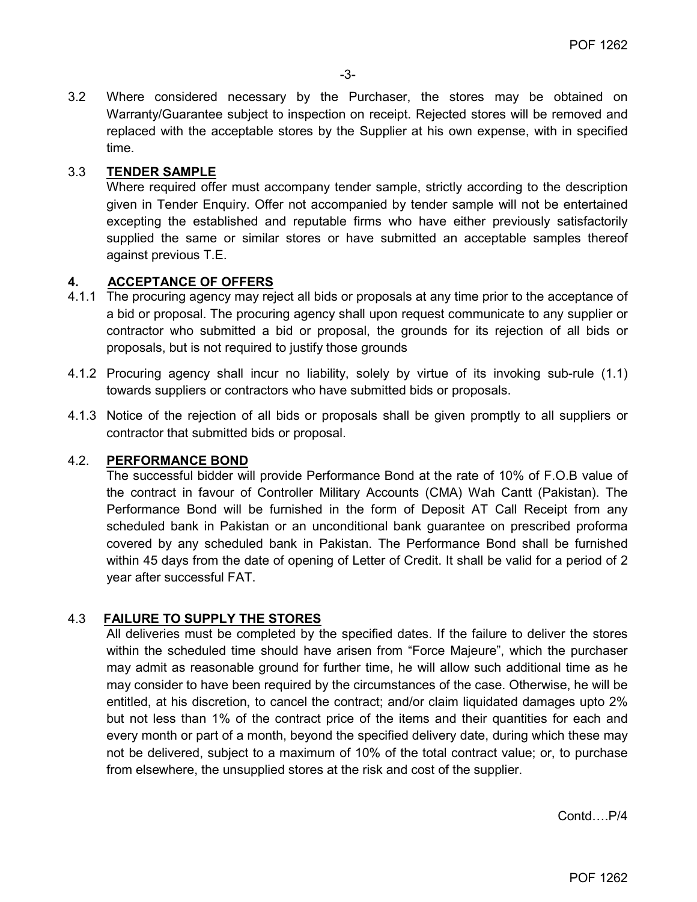3.2 Where considered necessary by the Purchaser, the stores may be obtained on Warranty/Guarantee subject to inspection on receipt. Rejected stores will be removed and replaced with the acceptable stores by the Supplier at his own expense, with in specified time.

### 3.3 **TENDER SAMPLE**

Where required offer must accompany tender sample, strictly according to the description given in Tender Enquiry. Offer not accompanied by tender sample will not be entertained excepting the established and reputable firms who have either previously satisfactorily supplied the same or similar stores or have submitted an acceptable samples thereof against previous T.E.

#### **4. ACCEPTANCE OF OFFERS**

- 4.1.1 The procuring agency may reject all bids or proposals at any time prior to the acceptance of a bid or proposal. The procuring agency shall upon request communicate to any supplier or contractor who submitted a bid or proposal, the grounds for its rejection of all bids or proposals, but is not required to justify those grounds
- 4.1.2 Procuring agency shall incur no liability, solely by virtue of its invoking sub-rule (1.1) towards suppliers or contractors who have submitted bids or proposals.
- 4.1.3 Notice of the rejection of all bids or proposals shall be given promptly to all suppliers or contractor that submitted bids or proposal.

#### 4.2. **PERFORMANCE BOND**

The successful bidder will provide Performance Bond at the rate of 10% of F.O.B value of the contract in favour of Controller Military Accounts (CMA) Wah Cantt (Pakistan). The Performance Bond will be furnished in the form of Deposit AT Call Receipt from any scheduled bank in Pakistan or an unconditional bank guarantee on prescribed proforma covered by any scheduled bank in Pakistan. The Performance Bond shall be furnished within 45 days from the date of opening of Letter of Credit. It shall be valid for a period of 2 year after successful FAT.

#### 4.3 **FAILURE TO SUPPLY THE STORES**

All deliveries must be completed by the specified dates. If the failure to deliver the stores within the scheduled time should have arisen from "Force Majeure", which the purchaser may admit as reasonable ground for further time, he will allow such additional time as he may consider to have been required by the circumstances of the case. Otherwise, he will be entitled, at his discretion, to cancel the contract; and/or claim liquidated damages upto 2% but not less than 1% of the contract price of the items and their quantities for each and every month or part of a month, beyond the specified delivery date, during which these may not be delivered, subject to a maximum of 10% of the total contract value; or, to purchase from elsewhere, the unsupplied stores at the risk and cost of the supplier.

Contd….P/4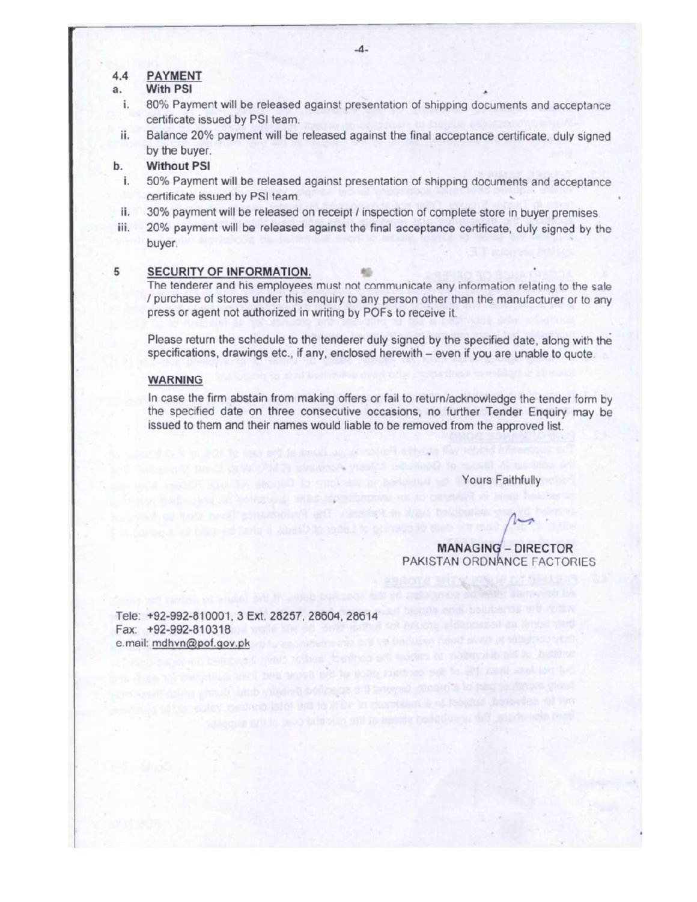#### **PAYMENT**  $4.4$

#### **With PSI** a.

- 80% Payment will be released against presentation of shipping documents and acceptance i. certificate issued by PSI team.
- Balance 20% payment will be released against the final acceptance certificate, duly signed ii. by the buyer.

#### **Without PSI**  $<sub>b</sub>$ </sub>

- 50% Payment will be released against presentation of shipping documents and acceptance i. certificate issued by PSI team.
- 30% payment will be released on receipt / inspection of complete store in buyer premises. ii.
- iii. 20% payment will be released against the final acceptance certificate, duly signed by the buyer.

#### 5 SECURITY OF INFORMATION.

The tenderer and his employees must not communicate any information relating to the sale / purchase of stores under this enquiry to any person other than the manufacturer or to any press or agent not authorized in writing by POFs to receive it.

Please return the schedule to the tenderer duly signed by the specified date, along with the specifications, drawings etc., if any, enclosed herewith – even if you are unable to quote.

#### **WARNING**

In case the firm abstain from making offers or fail to return/acknowledge the tender form by the specified date on three consecutive occasions, no further Tender Enquiry may be issued to them and their names would liable to be removed from the approved list.

Yours Faithfully

**MANAGING - DIRECTOR** PAKISTAN ORDNANCE FACTORIES

Tele: +92-992-810001, 3 Ext. 28257, 28604, 28614 Fax: +92-992-810318 e.mail: mdhvn@pof.gov.pk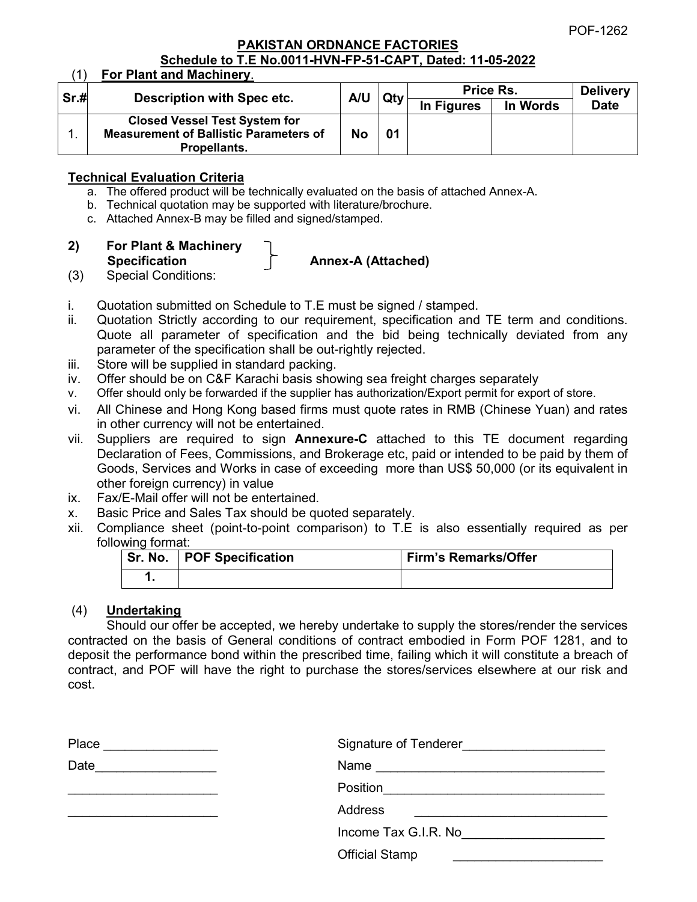POF-1262

#### **PAKISTAN ORDNANCE FACTORIES Schedule to T.E No.0011-HVN-FP-51-CAPT, Dated: 11-05-2022**

|      | For Plant and Machinery.                      |           |     |            |          |                 |
|------|-----------------------------------------------|-----------|-----|------------|----------|-----------------|
| Sr.H | <b>Description with Spec etc.</b>             | A/U       | Qtv | Price Rs.  |          | <b>Delivery</b> |
|      |                                               |           |     | In Figures | In Words | <b>Date</b>     |
|      | <b>Closed Vessel Test System for</b>          |           |     |            |          |                 |
|      | <b>Measurement of Ballistic Parameters of</b> | <b>No</b> |     |            |          |                 |
|      | <b>Propellants.</b>                           |           |     |            |          |                 |

### **Technical Evaluation Criteria**

- a. The offered product will be technically evaluated on the basis of attached Annex-A.
- b. Technical quotation may be supported with literature/brochure.
- c. Attached Annex-B may be filled and signed/stamped.
- **2) For Plant & Machinery**  Specification **Annex-A** (Attached)
	-
- (3) Special Conditions:
- i. Quotation submitted on Schedule to T.E must be signed / stamped.
- ii. Quotation Strictly according to our requirement, specification and TE term and conditions. Quote all parameter of specification and the bid being technically deviated from any parameter of the specification shall be out-rightly rejected.
- iii. Store will be supplied in standard packing.
- iv. Offer should be on C&F Karachi basis showing sea freight charges separately
- v. Offer should only be forwarded if the supplier has authorization/Export permit for export of store.
- vi. All Chinese and Hong Kong based firms must quote rates in RMB (Chinese Yuan) and rates in other currency will not be entertained.
- vii. Suppliers are required to sign **Annexure-C** attached to this TE document regarding Declaration of Fees, Commissions, and Brokerage etc, paid or intended to be paid by them of Goods, Services and Works in case of exceeding more than US\$ 50,000 (or its equivalent in other foreign currency) in value
- ix. Fax/E-Mail offer will not be entertained.
- x. Basic Price and Sales Tax should be quoted separately.
- xii. Compliance sheet (point-to-point comparison) to T.E is also essentially required as per following format:

| Sr. No.   POF Specification | <b>Firm's Remarks/Offer</b> |
|-----------------------------|-----------------------------|
|                             |                             |

## (4) **Undertaking**

Should our offer be accepted, we hereby undertake to supply the stores/render the services contracted on the basis of General conditions of contract embodied in Form POF 1281, and to deposit the performance bond within the prescribed time, failing which it will constitute a breach of contract, and POF will have the right to purchase the stores/services elsewhere at our risk and cost.

| Place | Signature of Tenderer |
|-------|-----------------------|
| Date  | Name                  |
|       | Position              |
|       | <b>Address</b>        |
|       | Income Tax G.I.R. No  |
|       | <b>Official Stamp</b> |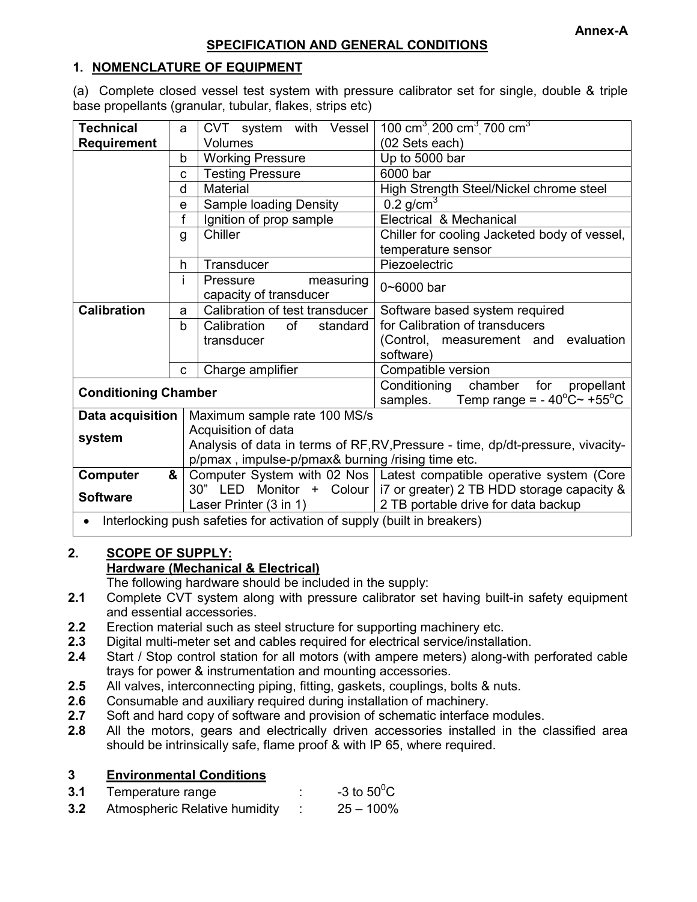#### **1. NOMENCLATURE OF EQUIPMENT**

(a) Complete closed vessel test system with pressure calibrator set for single, double & triple base propellants (granular, tubular, flakes, strips etc)

| <b>Technical</b>            | a  | CVT system with<br>Vessel                                                       | 100 cm <sup>3</sup> 200 cm <sup>3</sup> 700 cm <sup>3</sup>                                                      |  |  |
|-----------------------------|----|---------------------------------------------------------------------------------|------------------------------------------------------------------------------------------------------------------|--|--|
| <b>Requirement</b>          |    | Volumes                                                                         | (02 Sets each)                                                                                                   |  |  |
|                             | b  | <b>Working Pressure</b>                                                         | Up to 5000 bar                                                                                                   |  |  |
|                             | C  | <b>Testing Pressure</b>                                                         | 6000 bar                                                                                                         |  |  |
|                             | d  | Material                                                                        | High Strength Steel/Nickel chrome steel                                                                          |  |  |
|                             | e  | <b>Sample loading Density</b>                                                   | 0.2 $g/cm3$                                                                                                      |  |  |
|                             | f  | Ignition of prop sample                                                         | Electrical & Mechanical                                                                                          |  |  |
|                             | g  | Chiller                                                                         | Chiller for cooling Jacketed body of vessel,                                                                     |  |  |
|                             |    |                                                                                 | temperature sensor                                                                                               |  |  |
|                             | h. | Transducer                                                                      | Piezoelectric                                                                                                    |  |  |
|                             | i. | measuring<br>Pressure                                                           | $0 - 6000$ bar                                                                                                   |  |  |
|                             |    | capacity of transducer                                                          |                                                                                                                  |  |  |
| <b>Calibration</b>          | a  | Calibration of test transducer                                                  | Software based system required                                                                                   |  |  |
|                             | b  | of<br>Calibration<br>standard                                                   | for Calibration of transducers                                                                                   |  |  |
|                             |    | transducer                                                                      | (Control, measurement and evaluation                                                                             |  |  |
|                             |    |                                                                                 | software)                                                                                                        |  |  |
|                             | C  | Charge amplifier                                                                | Compatible version                                                                                               |  |  |
| <b>Conditioning Chamber</b> |    |                                                                                 | Conditioning<br>chamber<br>for<br>propellant<br>Temp range = $-40^{\circ}$ C $\sim$ +55 $^{\circ}$ C<br>samples. |  |  |
| Data acquisition            |    | Maximum sample rate 100 MS/s                                                    |                                                                                                                  |  |  |
|                             |    | Acquisition of data                                                             |                                                                                                                  |  |  |
| system                      |    | Analysis of data in terms of RF, RV, Pressure - time, dp/dt-pressure, vivacity- |                                                                                                                  |  |  |
|                             |    | p/pmax, impulse-p/pmax& burning /rising time etc.                               |                                                                                                                  |  |  |
| Computer                    | &  |                                                                                 | Computer System with 02 Nos   Latest compatible operative system (Core                                           |  |  |
| <b>Software</b>             |    |                                                                                 | 30" LED Monitor + Colour   i7 or greater) 2 TB HDD storage capacity &                                            |  |  |
|                             |    | Laser Printer (3 in 1)                                                          | 2 TB portable drive for data backup                                                                              |  |  |
|                             |    | Interlocking push safeties for activation of supply (built in breakers)         |                                                                                                                  |  |  |

## **2. SCOPE OF SUPPLY: Hardware (Mechanical & Electrical)**

The following hardware should be included in the supply:

- **2.1** Complete CVT system along with pressure calibrator set having built-in safety equipment and essential accessories.
- **2.2** Erection material such as steel structure for supporting machinery etc.
- **2.3** Digital multi-meter set and cables required for electrical service/installation.
- **2.4** Start / Stop control station for all motors (with ampere meters) along-with perforated cable trays for power & instrumentation and mounting accessories.
- **2.5** All valves, interconnecting piping, fitting, gaskets, couplings, bolts & nuts.
- **2.6** Consumable and auxiliary required during installation of machinery.
- **2.7** Soft and hard copy of software and provision of schematic interface modules.
- **2.8** All the motors, gears and electrically driven accessories installed in the classified area should be intrinsically safe, flame proof & with IP 65, where required.

### **3 Environmental Conditions**

| 3.1<br>Temperature range |  | -3 to $50^0$ C |
|--------------------------|--|----------------|
|--------------------------|--|----------------|

**3.2** Atmospheric Relative humidity : 25 – 100%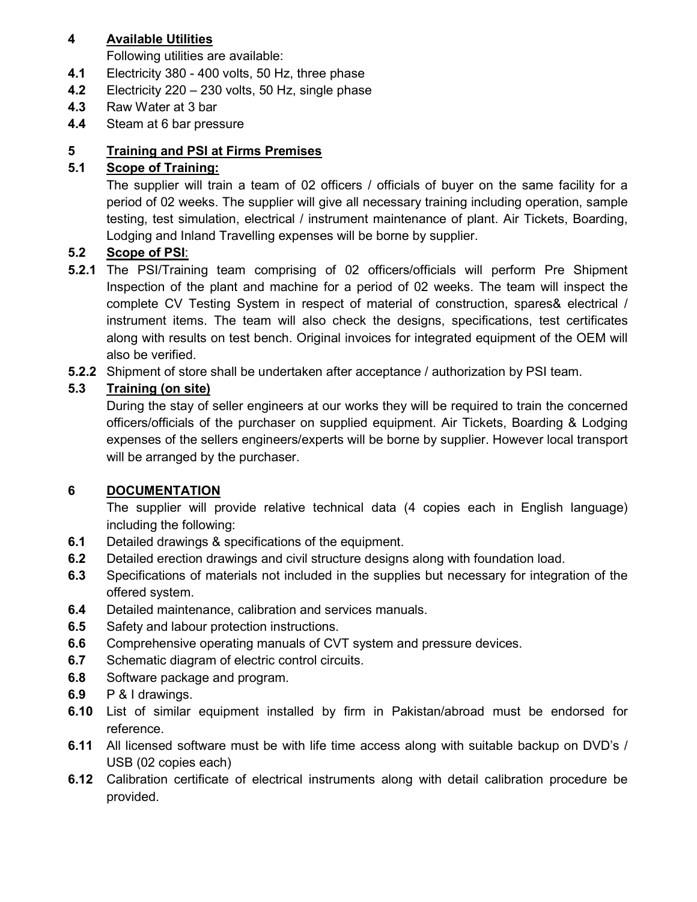## **4 Available Utilities**

Following utilities are available:

- **4.1** Electricity 380 400 volts, 50 Hz, three phase
- **4.2** Electricity 220 230 volts, 50 Hz, single phase
- **4.3** Raw Water at 3 bar
- **4.4** Steam at 6 bar pressure

# **5 Training and PSI at Firms Premises**

## **5.1 Scope of Training:**

The supplier will train a team of 02 officers / officials of buyer on the same facility for a period of 02 weeks. The supplier will give all necessary training including operation, sample testing, test simulation, electrical / instrument maintenance of plant. Air Tickets, Boarding, Lodging and Inland Travelling expenses will be borne by supplier.

## **5.2 Scope of PSI**:

- **5.2.1** The PSI/Training team comprising of 02 officers/officials will perform Pre Shipment Inspection of the plant and machine for a period of 02 weeks. The team will inspect the complete CV Testing System in respect of material of construction, spares& electrical / instrument items. The team will also check the designs, specifications, test certificates along with results on test bench. Original invoices for integrated equipment of the OEM will also be verified.
- **5.2.2** Shipment of store shall be undertaken after acceptance / authorization by PSI team.

# **5.3 Training (on site)**

During the stay of seller engineers at our works they will be required to train the concerned officers/officials of the purchaser on supplied equipment. Air Tickets, Boarding & Lodging expenses of the sellers engineers/experts will be borne by supplier. However local transport will be arranged by the purchaser.

# **6 DOCUMENTATION**

The supplier will provide relative technical data (4 copies each in English language) including the following:

- **6.1** Detailed drawings & specifications of the equipment.
- **6.2** Detailed erection drawings and civil structure designs along with foundation load.
- **6.3** Specifications of materials not included in the supplies but necessary for integration of the offered system.
- **6.4** Detailed maintenance, calibration and services manuals.
- **6.5** Safety and labour protection instructions.
- **6.6** Comprehensive operating manuals of CVT system and pressure devices.
- **6.7** Schematic diagram of electric control circuits.
- **6.8** Software package and program.
- **6.9** P & I drawings.
- **6.10** List of similar equipment installed by firm in Pakistan/abroad must be endorsed for reference.
- **6.11** All licensed software must be with life time access along with suitable backup on DVD's / USB (02 copies each)
- **6.12** Calibration certificate of electrical instruments along with detail calibration procedure be provided.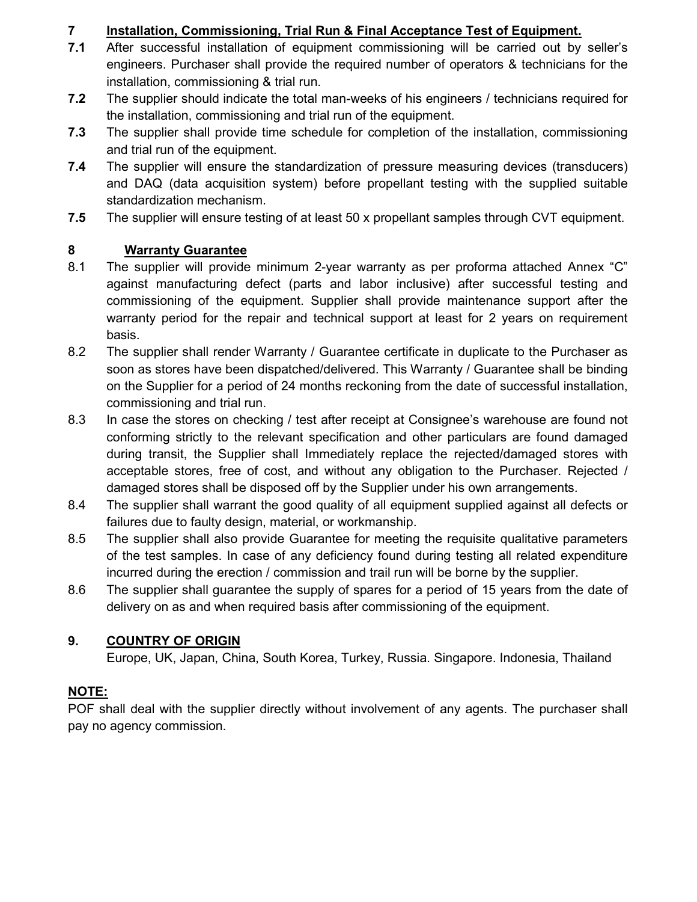# **7 Installation, Commissioning, Trial Run & Final Acceptance Test of Equipment.**

- **7.1** After successful installation of equipment commissioning will be carried out by seller's engineers. Purchaser shall provide the required number of operators & technicians for the installation, commissioning & trial run.
- **7.2** The supplier should indicate the total man-weeks of his engineers / technicians required for the installation, commissioning and trial run of the equipment.
- **7.3** The supplier shall provide time schedule for completion of the installation, commissioning and trial run of the equipment.
- **7.4** The supplier will ensure the standardization of pressure measuring devices (transducers) and DAQ (data acquisition system) before propellant testing with the supplied suitable standardization mechanism.
- **7.5** The supplier will ensure testing of at least 50 x propellant samples through CVT equipment.

## **8 Warranty Guarantee**

- 8.1 The supplier will provide minimum 2-year warranty as per proforma attached Annex "C" against manufacturing defect (parts and labor inclusive) after successful testing and commissioning of the equipment. Supplier shall provide maintenance support after the warranty period for the repair and technical support at least for 2 years on requirement basis.
- 8.2 The supplier shall render Warranty / Guarantee certificate in duplicate to the Purchaser as soon as stores have been dispatched/delivered. This Warranty / Guarantee shall be binding on the Supplier for a period of 24 months reckoning from the date of successful installation, commissioning and trial run.
- 8.3 In case the stores on checking / test after receipt at Consignee's warehouse are found not conforming strictly to the relevant specification and other particulars are found damaged during transit, the Supplier shall Immediately replace the rejected/damaged stores with acceptable stores, free of cost, and without any obligation to the Purchaser. Rejected / damaged stores shall be disposed off by the Supplier under his own arrangements.
- 8.4 The supplier shall warrant the good quality of all equipment supplied against all defects or failures due to faulty design, material, or workmanship.
- 8.5 The supplier shall also provide Guarantee for meeting the requisite qualitative parameters of the test samples. In case of any deficiency found during testing all related expenditure incurred during the erection / commission and trail run will be borne by the supplier.
- 8.6 The supplier shall guarantee the supply of spares for a period of 15 years from the date of delivery on as and when required basis after commissioning of the equipment.

# **9. COUNTRY OF ORIGIN**

Europe, UK, Japan, China, South Korea, Turkey, Russia. Singapore. Indonesia, Thailand

## **NOTE:**

POF shall deal with the supplier directly without involvement of any agents. The purchaser shall pay no agency commission.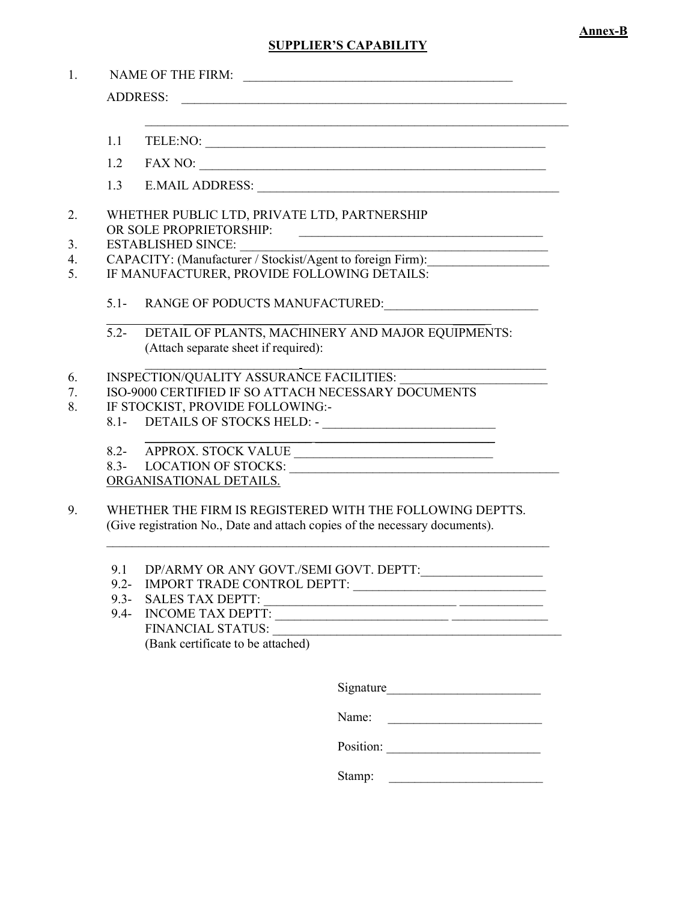#### **SUPPLIER'S CAPABILITY**

|         | <b>NAME OF THE FIRM:</b><br><u> 2000 - Jan James James James James James James James James James James James James James James James James Ja</u>                                                                                                                                     |  |  |  |  |  |
|---------|---------------------------------------------------------------------------------------------------------------------------------------------------------------------------------------------------------------------------------------------------------------------------------------|--|--|--|--|--|
|         | <b>ADDRESS:</b><br><u> 1989 - Johann John Stoff, deutscher Stoffen und der Stoffen und der Stoffen und der Stoffen und der Stoffen u</u>                                                                                                                                              |  |  |  |  |  |
| 1.1     | <u> 1989 - Johann John Stone, market fan de Fryske keamste fan de Fryske keamste fan de Fryske keamste fan de Fry</u><br>TELE:NO:                                                                                                                                                     |  |  |  |  |  |
| 1.2     |                                                                                                                                                                                                                                                                                       |  |  |  |  |  |
| 1.3     |                                                                                                                                                                                                                                                                                       |  |  |  |  |  |
|         | WHETHER PUBLIC LTD, PRIVATE LTD, PARTNERSHIP<br>OR SOLE PROPRIETORSHIP:<br>$\begin{aligned} \mathcal{L}_{\text{max}}(\mathcal{L}_{\text{max}},\mathcal{L}_{\text{max}}) = \mathcal{L}_{\text{max}}(\mathcal{L}_{\text{max}},\mathcal{L}_{\text{max}}) \end{aligned} \label{eq:log-1}$ |  |  |  |  |  |
|         | <b>ESTABLISHED SINCE:</b><br><u> 2000 - 2000 - 2000 - 2000 - 2000 - 2000 - 2000 - 2000 - 2000 - 2000 - 2000 - 2000 - 2000 - 2000 - 2000 - 200</u>                                                                                                                                     |  |  |  |  |  |
|         | CAPACITY: (Manufacturer / Stockist/Agent to foreign Firm):                                                                                                                                                                                                                            |  |  |  |  |  |
|         | IF MANUFACTURER, PROVIDE FOLLOWING DETAILS:                                                                                                                                                                                                                                           |  |  |  |  |  |
|         | 5.1- RANGE OF PODUCTS MANUFACTURED:                                                                                                                                                                                                                                                   |  |  |  |  |  |
| $5.2 -$ | DETAIL OF PLANTS, MACHINERY AND MAJOR EQUIPMENTS:<br>(Attach separate sheet if required):                                                                                                                                                                                             |  |  |  |  |  |
|         | INSPECTION/QUALITY ASSURANCE FACILITIES:                                                                                                                                                                                                                                              |  |  |  |  |  |
|         | ISO-9000 CERTIFIED IF SO ATTACH NECESSARY DOCUMENTS                                                                                                                                                                                                                                   |  |  |  |  |  |
|         | IF STOCKIST, PROVIDE FOLLOWING:-                                                                                                                                                                                                                                                      |  |  |  |  |  |
|         |                                                                                                                                                                                                                                                                                       |  |  |  |  |  |
|         | 8.2- APPROX. STOCK VALUE                                                                                                                                                                                                                                                              |  |  |  |  |  |
|         |                                                                                                                                                                                                                                                                                       |  |  |  |  |  |
|         | ORGANISATIONAL DETAILS.                                                                                                                                                                                                                                                               |  |  |  |  |  |
|         | WHETHER THE FIRM IS REGISTERED WITH THE FOLLOWING DEPTTS.                                                                                                                                                                                                                             |  |  |  |  |  |
|         | (Give registration No., Date and attach copies of the necessary documents).                                                                                                                                                                                                           |  |  |  |  |  |
| 9.1     | DP/ARMY OR ANY GOVT./SEMI GOVT. DEPTT:                                                                                                                                                                                                                                                |  |  |  |  |  |
|         |                                                                                                                                                                                                                                                                                       |  |  |  |  |  |
| $9.3 -$ | <b>SALES TAX DEPTT:</b><br><u> 1989 - Jan Stein Stein, fransk politiker (d. 1989)</u>                                                                                                                                                                                                 |  |  |  |  |  |
| $9.4 -$ | <b>INCOME TAX DEPTT:</b><br><u> 2000 - Jan Barbara, martxar al III al III a shekarar 1980 - Ann an t-Ann an t-Ann an t-Ann an t-Ann an t-Ann a</u>                                                                                                                                    |  |  |  |  |  |
|         | FINANCIAL STATUS:                                                                                                                                                                                                                                                                     |  |  |  |  |  |

(Bank certificate to be attached)

Signature\_\_\_\_\_\_\_\_\_\_\_\_\_\_\_\_\_\_\_\_\_\_\_\_

Name: \_\_\_\_\_\_\_\_\_\_\_\_\_\_\_\_\_\_\_\_\_\_\_\_

Position: \_\_\_\_\_\_\_\_\_\_\_\_\_\_\_\_\_\_\_\_\_\_\_\_

Stamp: \_\_\_\_\_\_\_\_\_\_\_\_\_\_\_\_\_\_\_\_\_\_\_\_